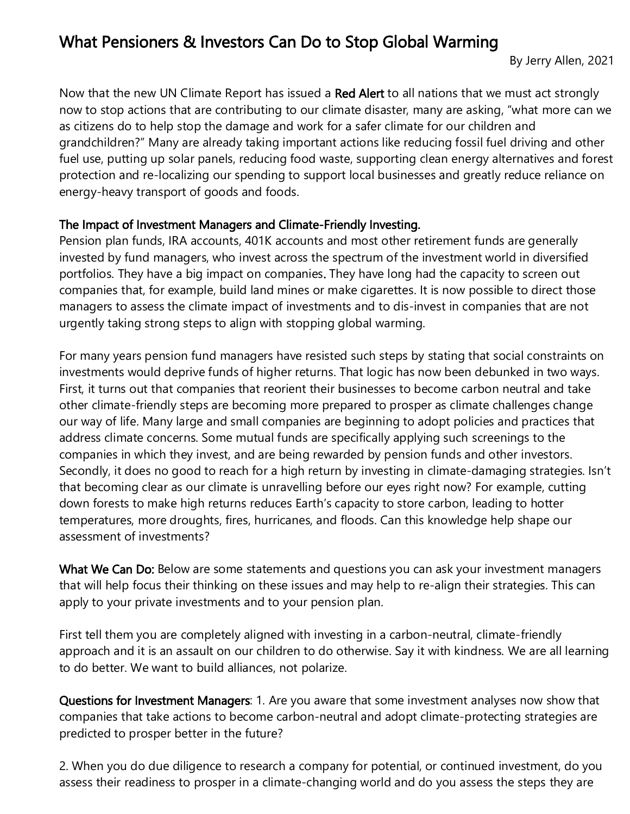## What Pensioners & Investors Can Do to Stop Global Warming

Now that the new UN Climate Report has issued a Red Alert to all nations that we must act strongly now to stop actions that are contributing to our climate disaster, many are asking, "what more can we as citizens do to help stop the damage and work for a safer climate for our children and grandchildren?" Many are already taking important actions like reducing fossil fuel driving and other fuel use, putting up solar panels, reducing food waste, supporting clean energy alternatives and forest protection and re-localizing our spending to support local businesses and greatly reduce reliance on energy-heavy transport of goods and foods.

## The Impact of Investment Managers and Climate-Friendly Investing.

Pension plan funds, IRA accounts, 401K accounts and most other retirement funds are generally invested by fund managers, who invest across the spectrum of the investment world in diversified portfolios. They have a big impact on companies. They have long had the capacity to screen out companies that, for example, build land mines or make cigarettes. It is now possible to direct those managers to assess the climate impact of investments and to dis-invest in companies that are not urgently taking strong steps to align with stopping global warming.

For many years pension fund managers have resisted such steps by stating that social constraints on investments would deprive funds of higher returns. That logic has now been debunked in two ways. First, it turns out that companies that reorient their businesses to become carbon neutral and take other climate-friendly steps are becoming more prepared to prosper as climate challenges change our way of life. Many large and small companies are beginning to adopt policies and practices that address climate concerns. Some mutual funds are specifically applying such screenings to the companies in which they invest, and are being rewarded by pension funds and other investors. Secondly, it does no good to reach for a high return by investing in climate-damaging strategies. Isn't that becoming clear as our climate is unravelling before our eyes right now? For example, cutting down forests to make high returns reduces Earth's capacity to store carbon, leading to hotter temperatures, more droughts, fires, hurricanes, and floods. Can this knowledge help shape our assessment of investments?

What We Can Do: Below are some statements and questions you can ask your investment managers that will help focus their thinking on these issues and may help to re-align their strategies. This can apply to your private investments and to your pension plan.

First tell them you are completely aligned with investing in a carbon-neutral, climate-friendly approach and it is an assault on our children to do otherwise. Say it with kindness. We are all learning to do better. We want to build alliances, not polarize.

Questions for Investment Managers: 1. Are you aware that some investment analyses now show that companies that take actions to become carbon-neutral and adopt climate-protecting strategies are predicted to prosper better in the future?

2. When you do due diligence to research a company for potential, or continued investment, do you assess their readiness to prosper in a climate-changing world and do you assess the steps they are